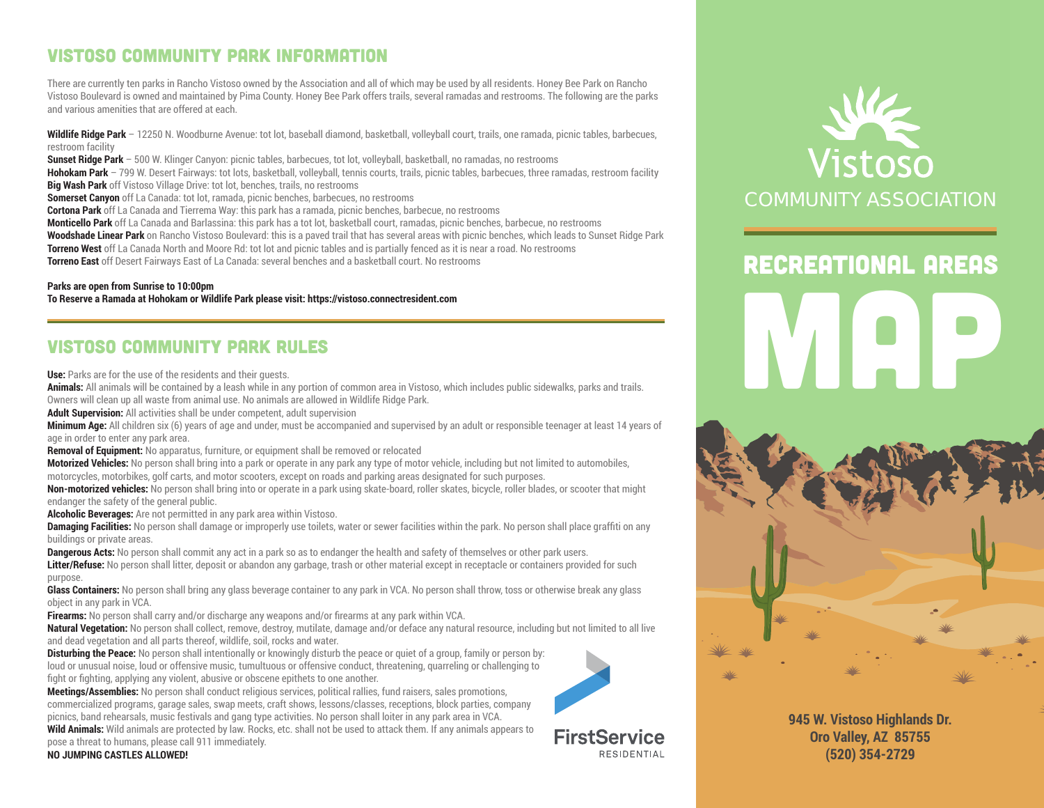## VISTOSO COMMUNITY PARK INFORMATION

There are currently ten parks in Rancho Vistoso owned by the Association and all of which may be used by all residents. Honey Bee Park on Rancho Vistoso Boulevard is owned and maintained by Pima County. Honey Bee Park offers trails, several ramadas and restrooms. The following are the parks and various amenities that are offered at each.

**Wildlife Ridge Park** – 12250 N. Woodburne Avenue: tot lot, baseball diamond, basketball, volleyball court, trails, one ramada, picnic tables, barbecues, restroom facility

**Sunset Ridge Park** – 500 W. Klinger Canyon: picnic tables, barbecues, tot lot, volleyball, basketball, no ramadas, no restrooms

**Hohokam Park** – 799 W. Desert Fairways: tot lots, basketball, volleyball, tennis courts, trails, picnic tables, barbecues, three ramadas, restroom facility **Big Wash Park** off Vistoso Village Drive: tot lot, benches, trails, no restrooms

**Somerset Canyon** off La Canada: tot lot, ramada, picnic benches, barbecues, no restrooms

**Cortona Park** off La Canada and Tierrema Way: this park has a ramada, picnic benches, barbecue, no restrooms

**Monticello Park** off La Canada and Barlassina: this park has a tot lot, basketball court, ramadas, picnic benches, barbecue, no restrooms

**Woodshade Linear Park** on Rancho Vistoso Boulevard: this is a paved trail that has several areas with picnic benches, which leads to Sunset Ridge Park **Torreno West** off La Canada North and Moore Rd: tot lot and picnic tables and is partially fenced as it is near a road. No restrooms

**Torreno East** off Desert Fairways East of La Canada: several benches and a basketball court. No restrooms

## **Parks are open from Sunrise to 10:00pm**

**To Reserve a Ramada at Hohokam or Wildlife Park please visit: https://vistoso.connectresident.com**

## VISTOSO COMMUNITY PARK RULES

**Use:** Parks are for the use of the residents and their guests.

**Animals:** All animals will be contained by a leash while in any portion of common area in Vistoso, which includes public sidewalks, parks and trails. Owners will clean up all waste from animal use. No animals are allowed in Wildlife Ridge Park.

**Adult Supervision:** All activities shall be under competent, adult supervision

**Minimum Age:** All children six (6) years of age and under, must be accompanied and supervised by an adult or responsible teenager at least 14 years of age in order to enter any park area.

**Removal of Equipment:** No apparatus, furniture, or equipment shall be removed or relocated

**Motorized Vehicles:** No person shall bring into a park or operate in any park any type of motor vehicle, including but not limited to automobiles, motorcycles, motorbikes, golf carts, and motor scooters, except on roads and parking areas designated for such purposes.

**Non-motorized vehicles:** No person shall bring into or operate in a park using skate-board, roller skates, bicycle, roller blades, or scooter that might endanger the safety of the general public.

**Alcoholic Beverages:** Are not permitted in any park area within Vistoso.

**Damaging Facilities:** No person shall damage or improperly use toilets, water or sewer facilities within the park. No person shall place graffiti on any buildings or private areas.

**Dangerous Acts:** No person shall commit any act in a park so as to endanger the health and safety of themselves or other park users. **Litter/Refuse:** No person shall litter, deposit or abandon any garbage, trash or other material except in receptacle or containers provided for such

purpose. **Glass Containers:** No person shall bring any glass beverage container to any park in VCA. No person shall throw, toss or otherwise break any glass

object in any park in VCA.

**Firearms:** No person shall carry and/or discharge any weapons and/or firearms at any park within VCA.

**Natural Vegetation:** No person shall collect, remove, destroy, mutilate, damage and/or deface any natural resource, including but not limited to all live and dead vegetation and all parts thereof, wildlife, soil, rocks and water.

**Disturbing the Peace:** No person shall intentionally or knowingly disturb the peace or quiet of a group, family or person by: loud or unusual noise, loud or offensive music, tumultuous or offensive conduct, threatening, quarreling or challenging to fight or fighting, applying any violent, abusive or obscene epithets to one another.

**Meetings/Assemblies:** No person shall conduct religious services, political rallies, fund raisers, sales promotions, commercialized programs, garage sales, swap meets, craft shows, lessons/classes, receptions, block parties, company picnics, band rehearsals, music festivals and gang type activities. No person shall loiter in any park area in VCA.

**Wild Animals:** Wild animals are protected by law. Rocks, etc. shall not be used to attack them. If any animals appears to pose a threat to humans, please call 911 immediately. **NO JUMPING CASTLES ALLOWED!**



## Recreational Areas

MAP



**945 W. Vistoso Highlands Dr. Oro Valley, AZ 85755 (520) 354-2729**

**FirstService** RESIDENTIAL